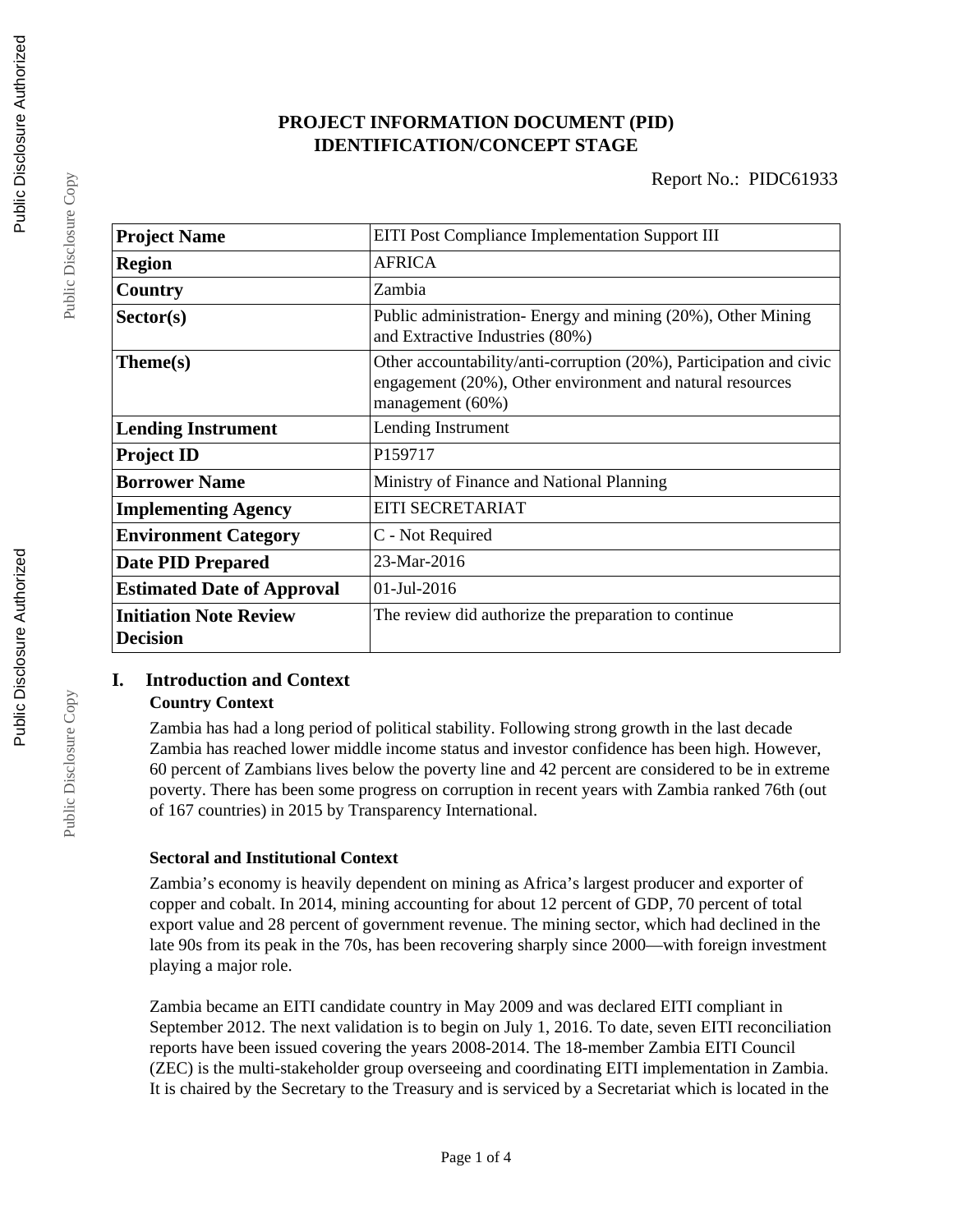# **PROJECT INFORMATION DOCUMENT (PID) IDENTIFICATION/CONCEPT STAGE**

| <b>Project Name</b>                              | <b>EITI Post Compliance Implementation Support III</b>                                                                                               |  |  |
|--------------------------------------------------|------------------------------------------------------------------------------------------------------------------------------------------------------|--|--|
| <b>Region</b>                                    | <b>AFRICA</b>                                                                                                                                        |  |  |
| Country                                          | Zambia                                                                                                                                               |  |  |
| Sector(s)                                        | Public administration- Energy and mining (20%), Other Mining<br>and Extractive Industries (80%)                                                      |  |  |
| Theme(s)                                         | Other accountability/anti-corruption (20%), Participation and civic<br>engagement (20%), Other environment and natural resources<br>management (60%) |  |  |
| <b>Lending Instrument</b>                        | Lending Instrument                                                                                                                                   |  |  |
| <b>Project ID</b>                                | P159717                                                                                                                                              |  |  |
| <b>Borrower Name</b>                             | Ministry of Finance and National Planning                                                                                                            |  |  |
| <b>Implementing Agency</b>                       | EITI SECRETARIAT                                                                                                                                     |  |  |
| <b>Environment Category</b>                      | C - Not Required                                                                                                                                     |  |  |
| <b>Date PID Prepared</b>                         | 23-Mar-2016                                                                                                                                          |  |  |
| <b>Estimated Date of Approval</b>                | $01$ -Jul-2016                                                                                                                                       |  |  |
| <b>Initiation Note Review</b><br><b>Decision</b> | The review did authorize the preparation to continue                                                                                                 |  |  |

# **I. Introduction and Context**

## **Country Context**

Zambia has had a long period of political stability. Following strong growth in the last decade Zambia has reached lower middle income status and investor confidence has been high. However, 60 percent of Zambians lives below the poverty line and 42 percent are considered to be in extreme poverty. There has been some progress on corruption in recent years with Zambia ranked 76th (out of 167 countries) in 2015 by Transparency International.

# **Sectoral and Institutional Context**

Zambia's economy is heavily dependent on mining as Africa's largest producer and exporter of copper and cobalt. In 2014, mining accounting for about 12 percent of GDP, 70 percent of total export value and 28 percent of government revenue. The mining sector, which had declined in the late 90s from its peak in the 70s, has been recovering sharply since 2000—with foreign investment playing a major role.

Zambia became an EITI candidate country in May 2009 and was declared EITI compliant in September 2012. The next validation is to begin on July 1, 2016. To date, seven EITI reconciliation reports have been issued covering the years 2008-2014. The 18-member Zambia EITI Council (ZEC) is the multi-stakeholder group overseeing and coordinating EITI implementation in Zambia. It is chaired by the Secretary to the Treasury and is serviced by a Secretariat which is located in the

Public Disclosure Copy

Public Disclosure Copy

Public Disclosure Copy

Public Disclosure Copy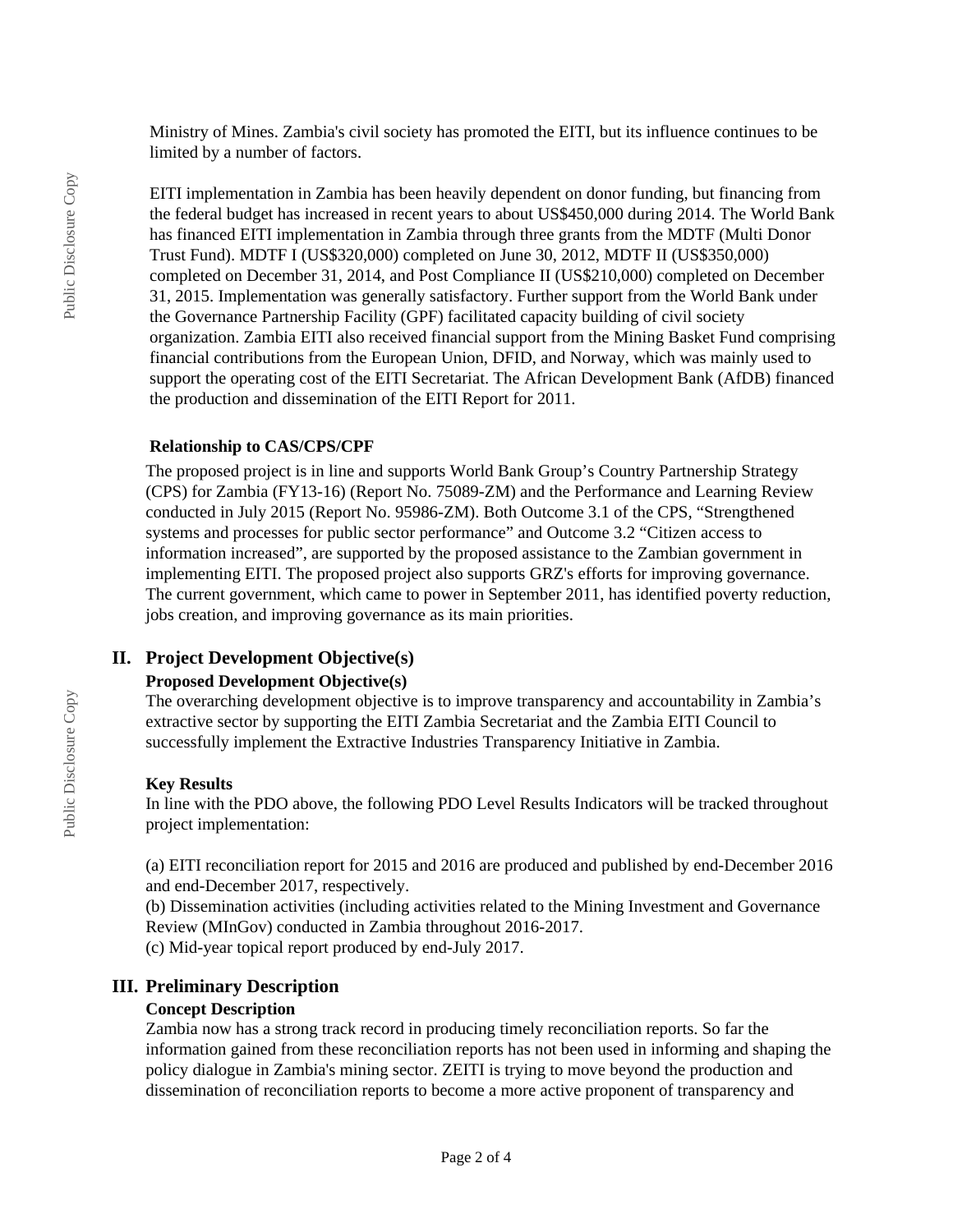Ministry of Mines. Zambia's civil society has promoted the EITI, but its influence continues to be limited by a number of factors.

EITI implementation in Zambia has been heavily dependent on donor funding, but financing from the federal budget has increased in recent years to about US\$450,000 during 2014. The World Bank has financed EITI implementation in Zambia through three grants from the MDTF (Multi Donor Trust Fund). MDTF I (US\$320,000) completed on June 30, 2012, MDTF II (US\$350,000) completed on December 31, 2014, and Post Compliance II (US\$210,000) completed on December 31, 2015. Implementation was generally satisfactory. Further support from the World Bank under the Governance Partnership Facility (GPF) facilitated capacity building of civil society organization. Zambia EITI also received financial support from the Mining Basket Fund comprising financial contributions from the European Union, DFID, and Norway, which was mainly used to support the operating cost of the EITI Secretariat. The African Development Bank (AfDB) financed the production and dissemination of the EITI Report for 2011.

#### **Relationship to CAS/CPS/CPF**

The proposed project is in line and supports World Bank Group's Country Partnership Strategy (CPS) for Zambia (FY13-16) (Report No. 75089-ZM) and the Performance and Learning Review conducted in July 2015 (Report No. 95986-ZM). Both Outcome 3.1 of the CPS, "Strengthened systems and processes for public sector performance" and Outcome 3.2 "Citizen access to information increased", are supported by the proposed assistance to the Zambian government in implementing EITI. The proposed project also supports GRZ's efforts for improving governance. The current government, which came to power in September 2011, has identified poverty reduction, jobs creation, and improving governance as its main priorities.

## **II. Project Development Objective(s)**

### **Proposed Development Objective(s)**

The overarching development objective is to improve transparency and accountability in Zambia's extractive sector by supporting the EITI Zambia Secretariat and the Zambia EITI Council to successfully implement the Extractive Industries Transparency Initiative in Zambia.

### **Key Results**

In line with the PDO above, the following PDO Level Results Indicators will be tracked throughout project implementation:

(a) EITI reconciliation report for 2015 and 2016 are produced and published by end-December 2016 and end-December 2017, respectively.

(b) Dissemination activities (including activities related to the Mining Investment and Governance Review (MInGov) conducted in Zambia throughout 2016-2017. (c) Mid-year topical report produced by end-July 2017.

### **III. Preliminary Description**

#### **Concept Description**

Zambia now has a strong track record in producing timely reconciliation reports. So far the information gained from these reconciliation reports has not been used in informing and shaping the policy dialogue in Zambia's mining sector. ZEITI is trying to move beyond the production and dissemination of reconciliation reports to become a more active proponent of transparency and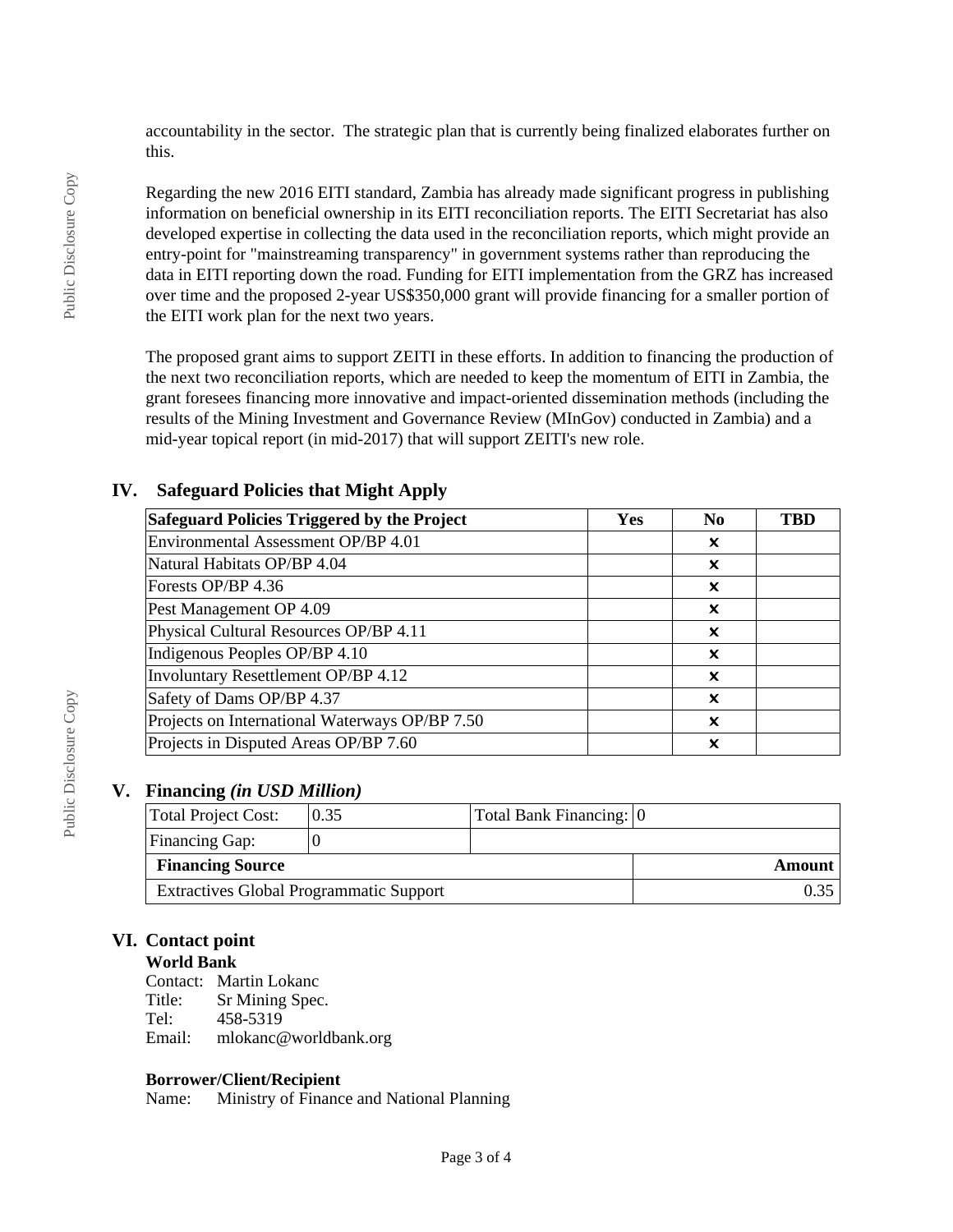accountability in the sector. The strategic plan that is currently being finalized elaborates further on this.

Regarding the new 2016 EITI standard, Zambia has already made significant progress in publishing information on beneficial ownership in its EITI reconciliation reports. The EITI Secretariat has also developed expertise in collecting the data used in the reconciliation reports, which might provide an entry-point for "mainstreaming transparency" in government systems rather than reproducing the data in EITI reporting down the road. Funding for EITI implementation from the GRZ has increased over time and the proposed 2-year US\$350,000 grant will provide financing for a smaller portion of the EITI work plan for the next two years.

The proposed grant aims to support ZEITI in these efforts. In addition to financing the production of the next two reconciliation reports, which are needed to keep the momentum of EITI in Zambia, the grant foresees financing more innovative and impact-oriented dissemination methods (including the results of the Mining Investment and Governance Review (MInGov) conducted in Zambia) and a mid-year topical report (in mid-2017) that will support ZEITI's new role.

| <b>Safeguard Policies Triggered by the Project</b> | Yes | N <sub>0</sub> | <b>TBD</b> |
|----------------------------------------------------|-----|----------------|------------|
| Environmental Assessment OP/BP 4.01                |     | X              |            |
| Natural Habitats OP/BP 4.04                        |     | x              |            |
| Forests OP/BP 4.36                                 |     | X              |            |
| Pest Management OP 4.09                            |     | x              |            |
| Physical Cultural Resources OP/BP 4.11             |     | x              |            |
| Indigenous Peoples OP/BP 4.10                      |     | X              |            |
| Involuntary Resettlement OP/BP 4.12                |     | X              |            |
| Safety of Dams OP/BP 4.37                          |     | X              |            |
| Projects on International Waterways OP/BP 7.50     |     | X              |            |
| Projects in Disputed Areas OP/BP 7.60              |     | x              |            |

## **IV. Safeguard Policies that Might Apply**

## **V. Financing** *(in USD Million)*

| Total Project Cost:                            | 0.35 | Total Bank Financing: 0 |        |
|------------------------------------------------|------|-------------------------|--------|
| <b>Financing Gap:</b>                          |      |                         |        |
| <b>Financing Source</b>                        |      |                         | Amount |
| <b>Extractives Global Programmatic Support</b> |      |                         |        |

# **VI. Contact point**

# **World Bank**

Contact: Martin Lokanc<br>Title: Sr Mining Spec Title: Sr Mining Spec.<br>Tel: 458-5319 Tel: 458-5319 Email: mlokanc@worldbank.org

### **Borrower/Client/Recipient**

Name: Ministry of Finance and National Planning